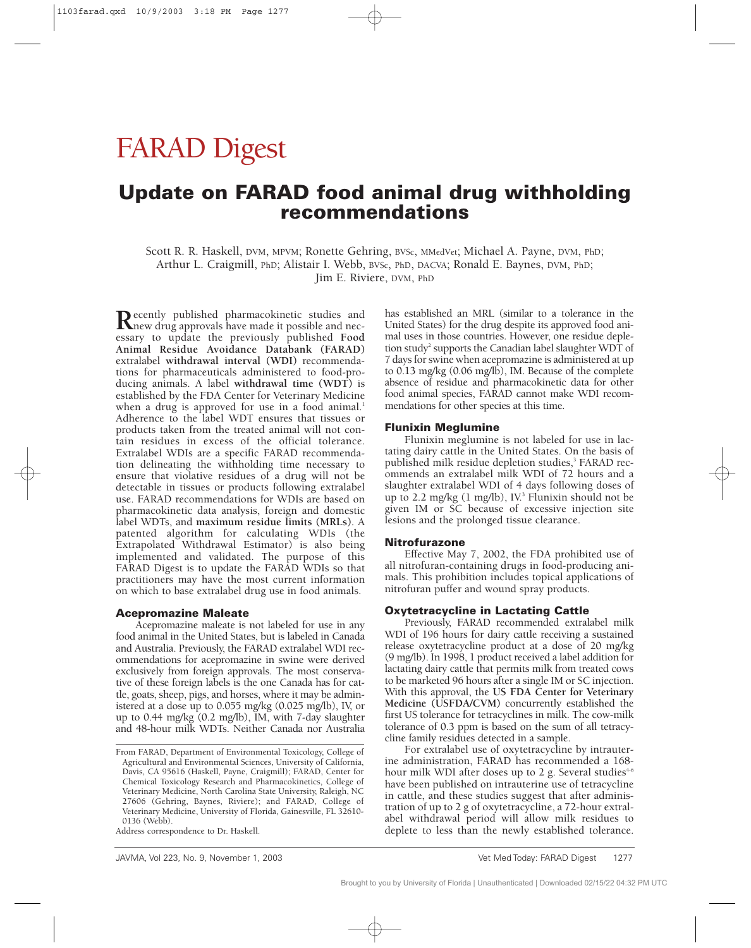# FARAD Digest

# **Update on FARAD food animal drug withholding recommendations**

Scott R. R. Haskell, DVM, MPVM; Ronette Gehring, BVSc, MMedVet; Michael A. Payne, DVM, PhD; Arthur L. Craigmill, PhD; Alistair I. Webb, BVSc, PhD, DACVA; Ronald E. Baynes, DVM, PhD; Jim E. Riviere, DVM, PhD

Recently published pharmacokinetic studies and<br>new drug approvals have made it possible and nec-<br>new to undate, the previously published Food essary to update the previously published **Food Animal Residue Avoidance Databank (FARAD)** extralabel **withdrawal interval (WDI)** recommendations for pharmaceuticals administered to food-producing animals. A label **withdrawal time (WDT)** is established by the FDA Center for Veterinary Medicine when a drug is approved for use in a food animal.<sup>1</sup> Adherence to the label WDT ensures that tissues or products taken from the treated animal will not contain residues in excess of the official tolerance. Extralabel WDIs are a specific FARAD recommendation delineating the withholding time necessary to ensure that violative residues of a drug will not be detectable in tissues or products following extralabel use. FARAD recommendations for WDIs are based on pharmacokinetic data analysis, foreign and domestic label WDTs, and **maximum residue limits (MRLs)**. A patented algorithm for calculating WDIs (the Extrapolated Withdrawal Estimator) is also being implemented and validated. The purpose of this FARAD Digest is to update the FARAD WDIs so that practitioners may have the most current information on which to base extralabel drug use in food animals.

#### **Acepromazine Maleate**

Acepromazine maleate is not labeled for use in any food animal in the United States, but is labeled in Canada and Australia. Previously, the FARAD extralabel WDI recommendations for acepromazine in swine were derived exclusively from foreign approvals. The most conservative of these foreign labels is the one Canada has for cattle, goats, sheep, pigs, and horses, where it may be administered at a dose up to 0.055 mg/kg (0.025 mg/lb), IV, or up to 0.44 mg/kg (0.2 mg/lb), IM, with 7-day slaughter and 48-hour milk WDTs. Neither Canada nor Australia has established an MRL (similar to a tolerance in the United States) for the drug despite its approved food animal uses in those countries. However, one residue depletion study<sup>2</sup> supports the Canadian label slaughter WDT of 7 days for swine when acepromazine is administered at up to 0.13 mg/kg (0.06 mg/lb), IM. Because of the complete absence of residue and pharmacokinetic data for other food animal species, FARAD cannot make WDI recommendations for other species at this time.

#### **Flunixin Meglumine**

Flunixin meglumine is not labeled for use in lactating dairy cattle in the United States. On the basis of published milk residue depletion studies,<sup>3</sup> FARAD recommends an extralabel milk WDI of 72 hours and a slaughter extralabel WDI of 4 days following doses of up to 2.2 mg/kg  $(1 \text{ mg/lb})$ , IV.<sup>3</sup> Flunixin should not be given IM or SC because of excessive injection site lesions and the prolonged tissue clearance.

#### **Nitrofurazone**

Effective May 7, 2002, the FDA prohibited use of all nitrofuran-containing drugs in food-producing animals. This prohibition includes topical applications of nitrofuran puffer and wound spray products.

# **Oxytetracycline in Lactating Cattle**

Previously, FARAD recommended extralabel milk WDI of 196 hours for dairy cattle receiving a sustained release oxytetracycline product at a dose of 20 mg/kg (9 mg/lb). In 1998, 1 product received a label addition for lactating dairy cattle that permits milk from treated cows to be marketed 96 hours after a single IM or SC injection. With this approval, the **US FDA Center for Veterinary Medicine (USFDA/CVM)** concurrently established the first US tolerance for tetracyclines in milk. The cow-milk tolerance of 0.3 ppm is based on the sum of all tetracycline family residues detected in a sample.

For extralabel use of oxytetracycline by intrauterine administration, FARAD has recommended a 168 hour milk WDI after doses up to 2 g. Several studies<sup> $+6$ </sup> have been published on intrauterine use of tetracycline in cattle, and these studies suggest that after administration of up to 2 g of oxytetracycline, a 72-hour extralabel withdrawal period will allow milk residues to deplete to less than the newly established tolerance.

From FARAD, Department of Environmental Toxicology, College of Agricultural and Environmental Sciences, University of California, Davis, CA 95616 (Haskell, Payne, Craigmill); FARAD, Center for Chemical Toxicology Research and Pharmacokinetics, College of Veterinary Medicine, North Carolina State University, Raleigh, NC 27606 (Gehring, Baynes, Riviere); and FARAD, College of Veterinary Medicine, University of Florida, Gainesville, FL 32610- 0136 (Webb).

Address correspondence to Dr. Haskell.